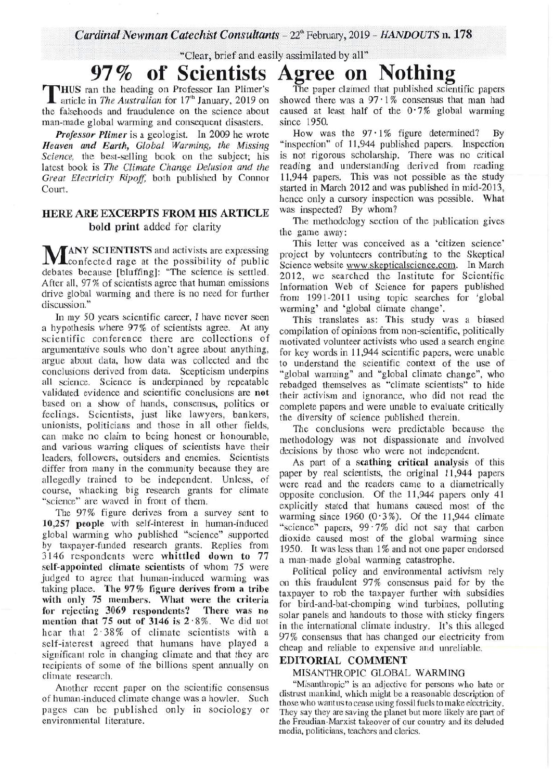"Clear, brief and easily assimilated by all"

# **of Scientists Agree on** Nothing . **97%**

T the falsehoods and fraudulence on the science about HUS ran the heading on Professor Ian Plimer's article in *The Australian* for 17<sup>th</sup> January, 2019 on man-made global warming and consequent disasters.

*Professor Plimer* is a geologist. In 2009 he wrote *Heaven and Earth, Global Warming, the Missing Science,* the best-selling book on the subject; his latest book is *The Climate Change Delusion and the Great Electricity Ripoff,* both published by Connor Court.

### HERE ARE EXCERPTS FROM HIS ARTICLE bold print added for clarity

M **TANY SCIENTISTS** and activists are expressing confected rage at the possibility of public debates because [bluffing]: "The science is settled. After all, 97 % of scientists agree that human emissions drive global warming and there is no need for further discussion."

In my 50 years scientific career, I have never seen a hypothesis where 97% of scientists agree. At any scientific conference there are collections of argumentative souls who don't agree about anything, argue about data, how data was collected and the conclusions derived from data. Scepticism underpins all science. Science is underpinned by repeatable validated evidence and scientific conclusions are not based on a show of hands, consensus, politics or feelings. Scientists, just like lawyers, bankers, unionists, politicians and those in all other fields, can make no claim to being honest or honourable, and various warring cliques of scientists have their leaders, followers, outsiders and enemies. Scientists differ from many in the community because they are allegedly trained to be independent. Unless, of course, whacking big research grants for climate "science" are waved in front of them.

The 97% figure derives from a survey sent to 10,257 people with self-interest in human-induced global warming who published "science" supported by taxpayer-funded research grants. Replies from 3146 respondents were whittled down to 77 self-appointed climate scientists of whom 75 were judged to agree that human-induced warming was taking place. The 97% figure derives from a tribe with only 75 members. What were the criteria for rejecting 3069 respondents? There was no mention that 75 out of 3146 is  $2.8\%$ . We did not hear that  $2.38\%$  of climate scientists with a self-interest agreed that humans have played a significant role in changing climate and that they are recipients of some of the billions spent annually on climate research.

Another recent paper on the scientific consensus of human-induced climate change was a howler. Such pages can be published only in sociology or environmental literature.

The paper claimed that published scientific papers showed there was a  $97 \cdot 1\%$  consensus that man had caused at least half of the  $0.7\%$  global warming since 1950.

How was the  $97 \cdot 1\%$  figure determined? By "inspection" of 11,944 published papers. Inspection is not rigorous scholarship. There was no critical reading and understanding derived from reading 11,944 papers. This was not possible as the study started in March 2012 and was published in mid-2013, hence only a cursory inspection was possible. What was inspected? By whom?

The methodology section of the publication gives the game away:

This letter was conceived as a 'citizen science' project by volunteers contributing to the Skeptical Science website www.skepticalscience.com. In March 2012, we searched the Institute for Scientific Information Web of Science for papers published from 1991-2011 using topic searches for 'global warming' and 'global climate change'.

This translates as: This study was a biased compilation of opinions from non-scientific, politically motivated volunteer activists who used a search engine for key words in 11,944 scientific papers, were unable to understand the scientific context of the use of "global warming" and "global climate change", who rebadged themselves as "climate scientists" to hide their activism and ignorance, who did not read the complete papers and were unable to evaluate critically the diversity of science published therein.

The conclusions were predictable because the methodology was not dispassionate and involved decisions by those who were not independent.

As part of a scathing critical analysis of this paper by real scientists, the original 11,944 papers were read and the readers came to a diametrically opposite conclusion. Of the 11,944 papers only 41 explicitly stated that humans caused most of the warming since 1960  $(0.3\%)$ . Of the 11,944 climate "science" papers,  $99 \cdot 7\%$  did not say that carbon dioxide caused most of the global warming since 1950. It was less than 1% and not one paper endorsed a man-made global warming catastrophe.

Political policy and environmental activism rely on this fraudulent 97% consensus paid for by the taxpayer to rob the taxpayer further with subsidies for bird-and-bat-chomping wind turbines, polluting solar panels and handouts to those with sticky fingers in the international climate industry. It's this alleged 97% consensus that has changed our electricity from cheap and reliable to expensive and unreliable.

#### EDITORIAL COMMENT

#### MISANTHROPIC GLOBAL WARMING

"Misanthropic" is an adjective for persons who hate or distrust mankind, which might be a reasonable description of those who want us to cease using fossil fuels to make electricity. They say they are saving the planet but more likely are part of the Freudian-Marxist takeover of our country and its deluded media, politicians, teachers and clerics.